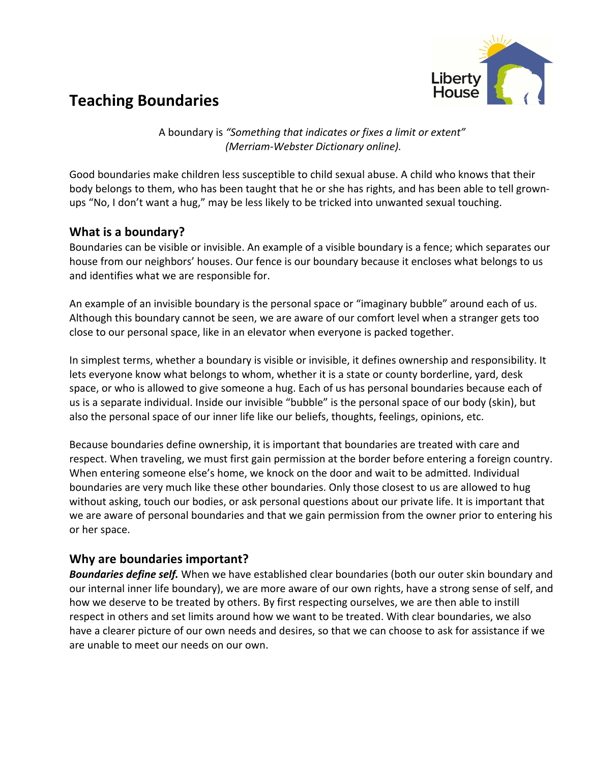

A boundary is "Something that indicates or fixes a limit or extent" *(Merriam-Webster Dictionary online).*

Good boundaries make children less susceptible to child sexual abuse. A child who knows that their body belongs to them, who has been taught that he or she has rights, and has been able to tell grownups "No, I don't want a hug," may be less likely to be tricked into unwanted sexual touching.

## **What is a boundary?**

Boundaries can be visible or invisible. An example of a visible boundary is a fence; which separates our house from our neighbors' houses. Our fence is our boundary because it encloses what belongs to us and identifies what we are responsible for.

An example of an invisible boundary is the personal space or "imaginary bubble" around each of us. Although this boundary cannot be seen, we are aware of our comfort level when a stranger gets too close to our personal space, like in an elevator when everyone is packed together.

In simplest terms, whether a boundary is visible or invisible, it defines ownership and responsibility. It lets everyone know what belongs to whom, whether it is a state or county borderline, yard, desk space, or who is allowed to give someone a hug. Each of us has personal boundaries because each of us is a separate individual. Inside our invisible "bubble" is the personal space of our body (skin), but also the personal space of our inner life like our beliefs, thoughts, feelings, opinions, etc.

Because boundaries define ownership, it is important that boundaries are treated with care and respect. When traveling, we must first gain permission at the border before entering a foreign country. When entering someone else's home, we knock on the door and wait to be admitted. Individual boundaries are very much like these other boundaries. Only those closest to us are allowed to hug without asking, touch our bodies, or ask personal questions about our private life. It is important that we are aware of personal boundaries and that we gain permission from the owner prior to entering his or her space.

## **Why are boundaries important?**

**Boundaries define self.** When we have established clear boundaries (both our outer skin boundary and our internal inner life boundary), we are more aware of our own rights, have a strong sense of self, and how we deserve to be treated by others. By first respecting ourselves, we are then able to instill respect in others and set limits around how we want to be treated. With clear boundaries, we also have a clearer picture of our own needs and desires, so that we can choose to ask for assistance if we are unable to meet our needs on our own.